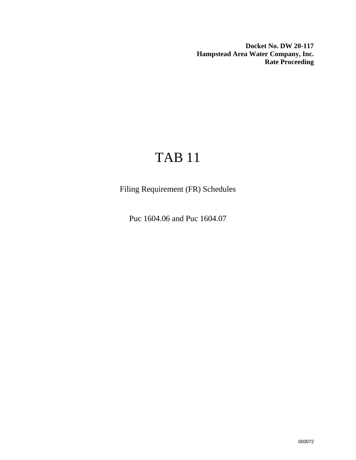**Docket No. DW 20-117 Hampstead Area Water Company, Inc. Rate Proceeding**

# TAB 11

Filing Requirement (FR) Schedules

Puc 1604.06 and Puc 1604.07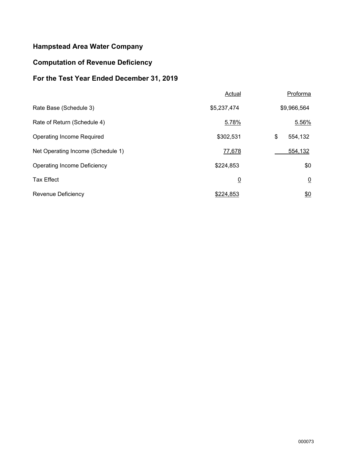## **Hampstead Area Water Company**

### **Computation of Revenue Deficiency**

## **For the Test Year Ended December 31, 2019**

|                                    | Actual         | Proforma       |
|------------------------------------|----------------|----------------|
| Rate Base (Schedule 3)             | \$5,237,474    | \$9,966,564    |
| Rate of Return (Schedule 4)        | 5.78%          | 5.56%          |
| Operating Income Required          | \$302,531      | \$<br>554,132  |
| Net Operating Income (Schedule 1)  | 77,678         | 554,132        |
| <b>Operating Income Deficiency</b> | \$224,853      | \$0            |
| <b>Tax Effect</b>                  | $\overline{0}$ | $\overline{0}$ |
| Revenue Deficiency                 | \$224,853      | \$0            |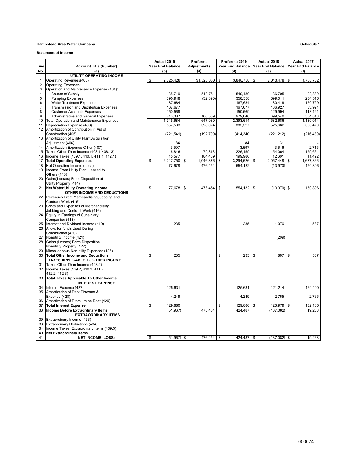#### **Hampstead Area Water Company Schedule 1**

**Statement of Income**

|                              |                                                     | Actual 2019             | Proforma           | Proforma 2019    | Actual 2018          | Actual 2017             |
|------------------------------|-----------------------------------------------------|-------------------------|--------------------|------------------|----------------------|-------------------------|
| Line                         | <b>Account Title (Number)</b>                       | <b>Year End Balance</b> | <b>Adjustments</b> | Year End Balance | Year End Balance     | <b>Year End Balance</b> |
| No.                          | (a)                                                 | (b)                     | (c)                | (d)              | (e)                  | (f)                     |
|                              | <b>UTILITY OPERATING INCOME</b>                     |                         |                    |                  |                      |                         |
| 1                            | Operating Revenues(400)                             | \$<br>2,325,428         | \$1,523,330        | \$<br>3,848,758  | 2,043,478<br>\$      | 1,788,762<br>\$         |
| $\overline{\mathbf{c}}$      | <b>Operating Expenses:</b>                          |                         |                    |                  |                      |                         |
|                              | Operation and Maintenance Expense (401):            |                         |                    |                  |                      |                         |
| 3<br>$\overline{\mathbf{4}}$ | Source of Supply                                    | 35,719                  | 513,761            | 549,480          | 36,795               | 22,839                  |
| 5                            |                                                     |                         |                    |                  |                      |                         |
| 6                            | <b>Pumping Expenses</b>                             | 390,948                 | (32, 390)          | 358,558          | 399,011              | 284,516                 |
|                              | <b>Water Treatment Expenses</b>                     | 187,684                 |                    | 187,684          | 180,419              | 170,729                 |
| $\overline{7}$               | <b>Transmission and Distribution Expenses</b>       | 167,677                 |                    | 167,677          | 136,927              | 83,991                  |
| 8                            | <b>Customer Accounts Expenses</b>                   | 150,569                 |                    | 150,569          | 129,994              | 113,121                 |
| 9                            | Administrative and General Expenses                 | 813,087                 | 166,559            | 979,646          | 699,540              | 504,818                 |
| 10                           | <b>Total Operation and Maintenance Expenses</b>     | 1,745,684               | 647,930            | 2,393,614        | 1,582,686            | 1,180,014               |
| 11                           | Depreciation Expense (403)                          | 557,503                 | 328,024            | 885,527          | 525,662              | 500,470                 |
| 12                           | Amortization of Contribution in Aid of              |                         |                    |                  |                      |                         |
|                              | Construction (405)                                  | (221, 541)              | (192, 799)         | (414, 340)       | (221, 212)           | (216, 489)              |
| 13                           | Amortization of Utility Plant Acquisition           |                         |                    |                  |                      |                         |
|                              | Adjustment (406)                                    | 84                      |                    | 84               | 31                   |                         |
| 14                           | Amortization Expense-Other (407)                    | 3,597                   |                    | 3,597            | 3,616                | 2,715                   |
| 15                           | Taxes Other Than Income (408.1-408.13)              | 146,846                 | 79.313             | 226,159          | 154,064              | 159,664                 |
| 16                           | Income Taxes (409.1, 410.1, 411.1, 412.1)           | 15,577                  | 184,409            | 199,986          | 12,601               | 11,492                  |
| 17                           | <b>Total Operating Expenses</b>                     | \$<br>2,247,750         | \$<br>1,046,876    | 3,294,626<br>\$  | 2,057,448<br>\$      | 1,637,866<br>\$         |
| 18                           | Net Operating Income (Loss)                         | 77,678                  | 476,454            | 554,132          | (13,970)             | 150,896                 |
| 19                           | Income From Utility Plant Leased to                 |                         |                    |                  |                      |                         |
|                              | Others (413)                                        |                         |                    |                  |                      |                         |
| 20                           | Gains(Losses) From Disposition of                   |                         |                    |                  |                      |                         |
|                              | Utility Property (414)                              |                         |                    |                  |                      |                         |
| 21                           | <b>Net Water Utility Operating Income</b>           | 77,678<br>\$            | \$<br>476,454      | \$<br>554,132    | \$<br>$(13,970)$ \$  | 150,896                 |
|                              | OTHER INCOME AND DEDUCTIONS                         |                         |                    |                  |                      |                         |
| 22                           | Revenues From Merchandising, Jobbing and            |                         |                    |                  |                      |                         |
|                              | Contract Work (415)                                 |                         |                    |                  |                      |                         |
| 23                           | Costs and Expenses of Merchandising,                |                         |                    |                  |                      |                         |
|                              | Jobbing and Contract Work (416)                     |                         |                    |                  |                      |                         |
| 24                           | Equity in Earnings of Subsidiary                    |                         |                    |                  |                      |                         |
|                              | Companies (418)                                     |                         |                    |                  |                      |                         |
| 25                           | Interest and Dividend Income (419)                  | 235                     |                    | 235              | 1,076                | 537                     |
| 26                           | Allow. for funds Used During                        |                         |                    |                  |                      |                         |
|                              | Construction (420)                                  |                         |                    |                  |                      |                         |
| 27                           | Nonutility Income (421)                             |                         |                    |                  | (209)                |                         |
| 28                           | Gains (Losses) Form Disposition                     |                         |                    |                  |                      |                         |
|                              | Nonutility Property (422)                           |                         |                    |                  |                      |                         |
| 29                           | Miscellaneous Nonutility Expenses (426)             |                         |                    |                  |                      |                         |
| 30                           | <b>Total Other Income and Deductions</b>            | 235<br>\$               |                    | \$<br>235        | \$<br>867            | \$<br>537               |
|                              | TAXES APPLICABLE TO OTHER INCOME                    |                         |                    |                  |                      |                         |
|                              |                                                     |                         |                    |                  |                      |                         |
| 31<br>32                     | Taxes Other Than Income (408.2)                     |                         |                    |                  |                      |                         |
|                              | Income Taxes (409.2, 410.2, 411.2,<br>412.2, 412.3) |                         |                    |                  |                      |                         |
| 33                           | <b>Total Taxes Applicable To Other Income</b>       |                         |                    |                  |                      |                         |
|                              |                                                     |                         |                    |                  |                      |                         |
|                              | <b>INTEREST EXPENSE</b>                             |                         |                    |                  |                      |                         |
| 34                           | Interest Expense (427)                              | 125,631                 |                    | 125,631          | 121,214              | 129,400                 |
| 35                           | Amortization of Debt Discount &                     |                         |                    |                  |                      |                         |
|                              | Expense (428)                                       | 4,249                   |                    | 4,249            | 2,765                | 2,765                   |
| 36                           | Amortization of Premium on Debt (429)               |                         |                    |                  |                      |                         |
| 37                           | <b>Total Interest Expense</b>                       | \$<br>129,880           |                    | 129,880<br>\$    | 123,979<br>\$        | \$<br>132,165           |
| 38                           | Income Before Extraordinary Items                   | (51, 967)               | 476,454            | 424,487          | (137, 082)           | 19.268                  |
|                              | <b>EXTRAORDINARY ITEMS</b>                          |                         |                    |                  |                      |                         |
| 39                           | Extraordinary Income (433)                          |                         |                    |                  |                      |                         |
| 33                           | <b>Extraordinary Deductions (434)</b>               |                         |                    |                  |                      |                         |
| 34                           | Income Taxes, Extraordinary Items (409.3)           |                         |                    |                  |                      |                         |
| 40                           | <b>Net Extraordinary Items</b>                      |                         |                    |                  |                      |                         |
| 41                           | <b>NET INCOME (LOSS)</b>                            | \$<br>$(51,967)$ \$     | 476,454            | \$<br>424,487    | \$<br>$(137,082)$ \$ | 19,268                  |
|                              |                                                     |                         |                    |                  |                      |                         |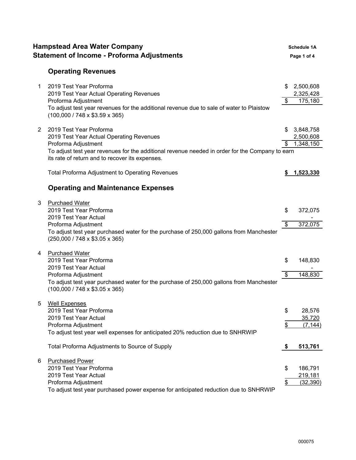|   | <b>Hampstead Area Water Company</b><br><b>Statement of Income - Proforma Adjustments</b>                                                                                                                                                         |                     | <b>Schedule 1A</b><br>Page 1 of 4   |
|---|--------------------------------------------------------------------------------------------------------------------------------------------------------------------------------------------------------------------------------------------------|---------------------|-------------------------------------|
|   | <b>Operating Revenues</b>                                                                                                                                                                                                                        |                     |                                     |
| 1 | 2019 Test Year Proforma<br>2019 Test Year Actual Operating Revenues<br>Proforma Adjustment<br>To adjust test year revenues for the additional revenue due to sale of water to Plaistow<br>$(100,000 / 748 \times $3.59 \times 365)$              | \$                  | \$2,500,608<br>2,325,428<br>175,180 |
| 2 | 2019 Test Year Proforma<br>2019 Test Year Actual Operating Revenues<br>Proforma Adjustment<br>To adjust test year revenues for the additional revenue needed in order for the Company to earn<br>its rate of return and to recover its expenses. | S.<br>\$            | 3,848,758<br>2,500,608<br>1,348,150 |
|   | <b>Total Proforma Adjustment to Operating Revenues</b>                                                                                                                                                                                           |                     | 1,523,330                           |
|   | <b>Operating and Maintenance Expenses</b>                                                                                                                                                                                                        |                     |                                     |
| 3 | <b>Purchaed Water</b><br>2019 Test Year Proforma<br>2019 Test Year Actual<br>Proforma Adjustment<br>To adjust test year purchased water for the purchase of 250,000 gallons from Manchester<br>(250,000 / 748 x \$3.05 x 365)                    | \$<br>$\sqrt[6]{2}$ | 372,075<br>372,075                  |
| 4 | <b>Purchaed Water</b><br>2019 Test Year Proforma<br>2019 Test Year Actual<br>Proforma Adjustment<br>To adjust test year purchased water for the purchase of 250,000 gallons from Manchester<br>$(100,000 / 748 \times $3.05 \times 365)$         | \$<br>\$            | 148,830<br>148,830                  |
| 5 | <b>Well Expenses</b><br>2019 Test Year Proforma<br>2019 Test Year Actual<br>Proforma Adjustment<br>To adjust test year well expenses for anticipated 20% reduction due to SNHRWIP                                                                | \$<br>\$            | 28,576<br>35,720<br>(7, 144)        |
|   | Total Proforma Adjustments to Source of Supply                                                                                                                                                                                                   | \$                  | 513,761                             |
| 6 | <b>Purchased Power</b><br>2019 Test Year Proforma<br>2019 Test Year Actual<br>Proforma Adjustment<br>To adjust test year purchased power expense for anticipated reduction due to SNHRWIP                                                        | \$<br>\$            | 186,791<br>219,181<br>(32, 390)     |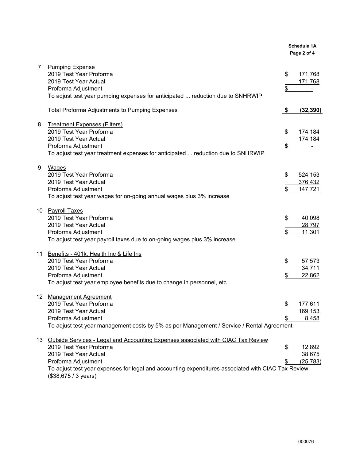|                |                                                                                                                                                                                                                                                                                           |          | <b>Schedule 1A</b><br>Page 2 of 4 |
|----------------|-------------------------------------------------------------------------------------------------------------------------------------------------------------------------------------------------------------------------------------------------------------------------------------------|----------|-----------------------------------|
| $\overline{7}$ | <b>Pumping Expense</b><br>2019 Test Year Proforma<br>2019 Test Year Actual<br>Proforma Adjustment<br>To adjust test year pumping expenses for anticipated  reduction due to SNHRWIP                                                                                                       | \$<br>\$ | 171,768<br>171,768                |
|                | <b>Total Proforma Adjustments to Pumping Expenses</b>                                                                                                                                                                                                                                     | \$       | (32, 390)                         |
| 8              | <b>Treatment Expenses (Filters)</b><br>2019 Test Year Proforma<br>2019 Test Year Actual<br>Proforma Adjustment<br>To adjust test year treatment expenses for anticipated  reduction due to SNHRWIP                                                                                        | \$<br>\$ | 174,184<br>174,184                |
| 9              | <b>Wages</b><br>2019 Test Year Proforma<br>2019 Test Year Actual<br>Proforma Adjustment<br>To adjust test year wages for on-going annual wages plus 3% increase                                                                                                                           | \$<br>\$ | 524,153<br>376,432<br>147,721     |
|                | 10 Payroll Taxes<br>2019 Test Year Proforma<br>2019 Test Year Actual<br>Proforma Adjustment<br>To adjust test year payroll taxes due to on-going wages plus 3% increase                                                                                                                   | \$<br>\$ | 40,098<br>28,797<br>11,301        |
|                | 11 Benefits - 401k, Health Inc & Life Ins<br>2019 Test Year Proforma<br>2019 Test Year Actual<br>Proforma Adjustment<br>To adjust test year employee benefits due to change in personnel, etc.                                                                                            | \$<br>\$ | 57,573<br>34,711<br>22,862        |
| 12             | <b>Management Agreement</b><br>2019 Test Year Proforma<br>2019 Test Year Actual<br>Proforma Adjustment<br>To adjust test year management costs by 5% as per Management / Service / Rental Agreement                                                                                       | \$<br>\$ | 177,611<br>169,153<br>8,458       |
| 13             | Outside Services - Legal and Accounting Expenses associated with CIAC Tax Review<br>2019 Test Year Proforma<br>2019 Test Year Actual<br>Proforma Adjustment<br>To adjust test year expenses for legal and accounting expenditures associated with CIAC Tax Review<br>(\$38,675 / 3 years) | \$<br>\$ | 12,892<br>38,675<br>(25, 783)     |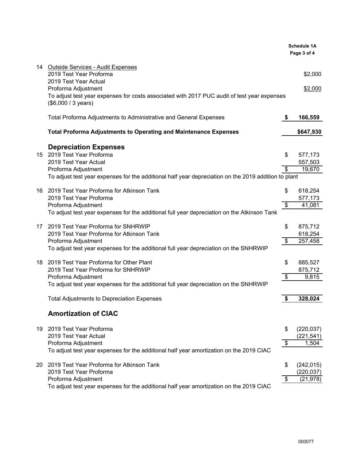|    |                                                                                                                                           |    | <b>Schedule 1A</b><br>Page 3 of 4 |
|----|-------------------------------------------------------------------------------------------------------------------------------------------|----|-----------------------------------|
|    | 14 Outside Services - Audit Expenses<br>2019 Test Year Proforma<br>2019 Test Year Actual                                                  |    | \$2,000                           |
|    | Proforma Adjustment<br>To adjust test year expenses for costs associated with 2017 PUC audit of test year expenses<br>(\$6,000 / 3 years) |    | \$2,000                           |
|    | Total Proforma Adjustments to Administrative and General Expenses                                                                         | \$ | 166,559                           |
|    | Total Proforma Adjustments to Operating and Maintenance Expenses                                                                          |    | \$647,930                         |
|    | <b>Depreciation Expenses</b>                                                                                                              |    |                                   |
|    | 15 2019 Test Year Proforma                                                                                                                | \$ | 577,173                           |
|    | 2019 Test Year Actual                                                                                                                     |    | 557,503                           |
|    | Proforma Adjustment                                                                                                                       | \$ | 19,670                            |
|    | To adjust test year expenses for the additional half year depreciation on the 2019 addition to plant                                      |    |                                   |
|    | 16 2019 Test Year Proforma for Atkinson Tank                                                                                              | \$ | 618,254                           |
|    | 2019 Test Year Proforma                                                                                                                   |    | 577,173                           |
|    | Proforma Adjustment<br>To adjust test year expenses for the additional full year depreciation on the Atkinson Tank                        | \$ | 41,081                            |
|    |                                                                                                                                           |    |                                   |
|    | 17 2019 Test Year Proforma for SNHRWIP                                                                                                    | \$ | 875,712                           |
|    | 2019 Test Year Proforma for Atkinson Tank                                                                                                 |    | 618,254                           |
|    | Proforma Adjustment                                                                                                                       | \$ | 257,458                           |
|    | To adjust test year expenses for the additional full year depreciation on the SNHRWIP                                                     |    |                                   |
|    | 18 2019 Test Year Proforma for Other Plant<br>2019 Test Year Proforma for SNHRWIP                                                         | S  | 885,527                           |
|    | Proforma Adjustment                                                                                                                       | \$ | 875,712<br>9,815                  |
|    | To adjust test year expenses for the additional full year depreciation on the SNHRWIP                                                     |    |                                   |
|    |                                                                                                                                           |    |                                   |
|    | <b>Total Adjustments to Depreciation Expenses</b>                                                                                         | \$ | 328,024                           |
|    | <b>Amortization of CIAC</b>                                                                                                               |    |                                   |
|    | 19 2019 Test Year Proforma                                                                                                                | \$ | (220, 037)                        |
|    | 2019 Test Year Actual                                                                                                                     |    | (221, 541)                        |
|    | Proforma Adjustment                                                                                                                       | \$ | 1,504                             |
|    | To adjust test year expenses for the additional half year amortization on the 2019 CIAC                                                   |    |                                   |
| 20 | 2019 Test Year Proforma for Atkinson Tank                                                                                                 | \$ | (242, 015)                        |
|    | 2019 Test Year Proforma                                                                                                                   |    | (220, 037)                        |
|    | Proforma Adjustment                                                                                                                       | \$ | (21, 978)                         |
|    | To adjust test year expenses for the additional half year amortization on the 2019 CIAC                                                   |    |                                   |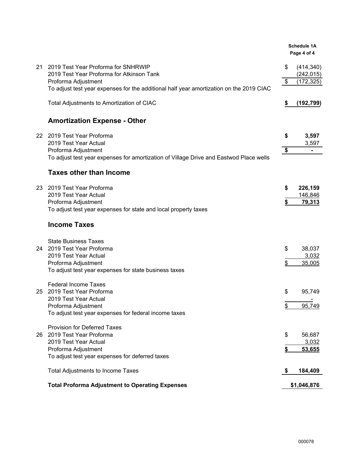|    |                                                                                                         |          | <b>Schedule 1A</b><br>Page 4 of 4      |
|----|---------------------------------------------------------------------------------------------------------|----------|----------------------------------------|
| 21 | 2019 Test Year Proforma for SNHRWIP<br>2019 Test Year Proforma for Atkinson Tank<br>Proforma Adjustment | \$<br>\$ | (414, 340)<br>(242, 015)<br>(172, 325) |
|    | To adjust test year expenses for the additional half year amortization on the 2019 CIAC                 |          |                                        |
|    | Total Adjustments to Amortization of CIAC                                                               | \$       | (192, 799)                             |
|    | <b>Amortization Expense - Other</b>                                                                     |          |                                        |
|    | 22 2019 Test Year Proforma<br>2019 Test Year Actual                                                     | \$       | 3,597<br>3,597                         |
|    | Proforma Adjustment                                                                                     | \$       |                                        |
|    | To adjust test year expenses for amortization of Village Drive and Eastwod Place wells                  |          |                                        |
|    | <b>Taxes other than Income</b>                                                                          |          |                                        |
|    | 23 2019 Test Year Proforma                                                                              | \$       | 226,159                                |
|    | 2019 Test Year Actual<br>Proforma Adjustment                                                            | \$       | 146,846<br>79,313                      |
|    | To adjust test year expenses for state and local property taxes                                         |          |                                        |
|    | <b>Income Taxes</b>                                                                                     |          |                                        |
|    | <b>State Business Taxes</b>                                                                             |          |                                        |
|    | 24 2019 Test Year Proforma<br>2019 Test Year Actual                                                     | \$       | 38,037<br>3,032                        |
|    | Proforma Adjustment                                                                                     | \$       | 35,005                                 |
|    | To adjust test year expenses for state business taxes                                                   |          |                                        |
| 25 | <b>Federal Income Taxes</b><br>2019 Test Year Proforma                                                  | \$       | 95,749                                 |
|    | 2019 Test Year Actual<br>Proforma Adjustment                                                            | \$       | 95,749                                 |
|    | To adjust test year expenses for federal income taxes                                                   |          |                                        |
|    | <b>Provision for Deferred Taxes</b>                                                                     |          |                                        |
|    | 26 2019 Test Year Proforma<br>2019 Test Year Actual                                                     | \$       | 56,687<br>3,032                        |
|    | Proforma Adjustment                                                                                     | \$       | 53,655                                 |
|    | To adjust test year expenses for deferred taxes                                                         |          |                                        |
|    | <b>Total Adjustments to Income Taxes</b>                                                                |          | 184,409                                |
|    | <b>Total Proforma Adjustment to Operating Expenses</b>                                                  |          | \$1,046,876                            |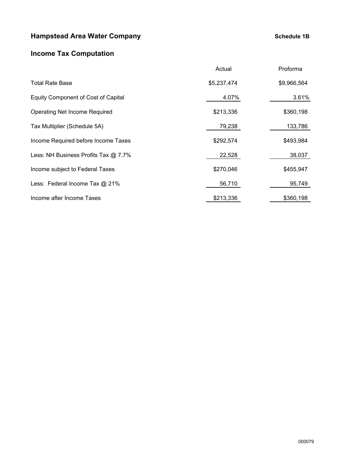### **Hampstead Area Water Company Company Company Schedule 1B**

### **Income Tax Computation**

|                                            | Actual      | Proforma    |
|--------------------------------------------|-------------|-------------|
| <b>Total Rate Base</b>                     | \$5,237,474 | \$9,966,564 |
| <b>Equity Component of Cost of Capital</b> | 4.07%       | 3.61%       |
| <b>Operating Net Income Required</b>       | \$213,336   | \$360,198   |
| Tax Multiplier (Schedule 5A)               | 79,238      | 133,786     |
| Income Required before Income Taxes        | \$292,574   | \$493,984   |
| Less: NH Business Profits Tax @ 7.7%       | 22,528      | 38,037      |
| Income subject to Federal Taxes            | \$270,046   | \$455,947   |
| Less: Federal Income Tax @ 21%             | 56,710      | 95,749      |
| Income after Income Taxes                  | \$213,336   | \$360,198   |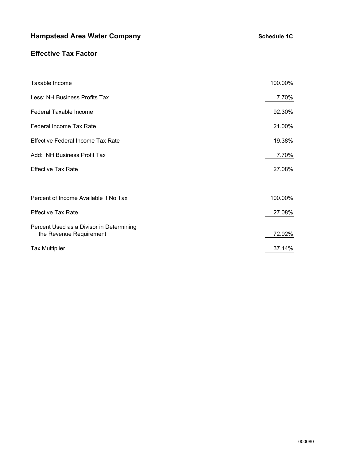## **Hampstead Area Water Company Company Company Schedule 1C**

### **Effective Tax Factor**

| Taxable Income                                                      | 100.00% |  |  |  |  |  |  |  |  |
|---------------------------------------------------------------------|---------|--|--|--|--|--|--|--|--|
| Less: NH Business Profits Tax                                       |         |  |  |  |  |  |  |  |  |
| Federal Taxable Income                                              |         |  |  |  |  |  |  |  |  |
| <b>Federal Income Tax Rate</b>                                      | 21.00%  |  |  |  |  |  |  |  |  |
| <b>Effective Federal Income Tax Rate</b>                            | 19.38%  |  |  |  |  |  |  |  |  |
| Add: NH Business Profit Tax                                         |         |  |  |  |  |  |  |  |  |
| <b>Effective Tax Rate</b>                                           |         |  |  |  |  |  |  |  |  |
|                                                                     |         |  |  |  |  |  |  |  |  |
| Percent of Income Available if No Tax                               | 100.00% |  |  |  |  |  |  |  |  |
| <b>Effective Tax Rate</b>                                           | 27.08%  |  |  |  |  |  |  |  |  |
| Percent Used as a Divisor in Determining<br>the Revenue Requirement | 72.92%  |  |  |  |  |  |  |  |  |
| <b>Tax Multiplier</b>                                               | 37.14%  |  |  |  |  |  |  |  |  |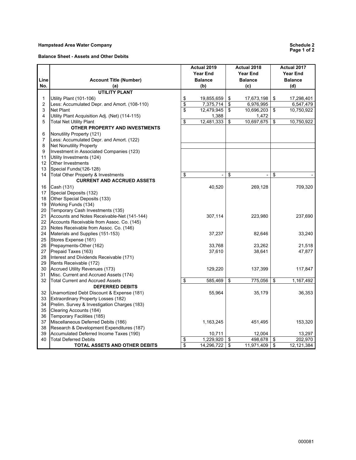#### **Hampstead Area Water Company**

|      |                                                |          | Actual 2019     |          | Actual 2018     | Actual 2017 |                 |  |  |
|------|------------------------------------------------|----------|-----------------|----------|-----------------|-------------|-----------------|--|--|
|      |                                                |          | <b>Year End</b> |          | <b>Year End</b> |             | <b>Year End</b> |  |  |
| Line | <b>Account Title (Number)</b>                  |          | <b>Balance</b>  |          | <b>Balance</b>  |             | <b>Balance</b>  |  |  |
| No.  | (a)                                            |          | (b)             |          | (c)             |             | (d)             |  |  |
|      | <b>UTILITY PLANT</b>                           |          |                 |          |                 |             |                 |  |  |
| 1    | <b>Utility Plant (101-106)</b>                 | \$       | 19,855,659      | \$       | 17,673,198      | \$          | 17,298,401      |  |  |
| 2    | Less: Accumulated Depr. and Amort. (108-110)   | \$       | 7,375,714       | \$       | 6,976,995       |             | 6,547,479       |  |  |
| 3    | <b>Net Plant</b>                               | \$       | 12,479,945      | \$       | 10,696,203      | \$          | 10,750,922      |  |  |
| 4    | Utility Plant Acquisition Adj. (Net) (114-115) |          | 1,388           |          | 1,472           |             |                 |  |  |
| 5    | <b>Total Net Utility Plant</b>                 | \$       | 12,481,333      | \$       | 10,697,675      | \$          | 10,750,922      |  |  |
|      | OTHER PROPERTY AND INVESTMENTS                 |          |                 |          |                 |             |                 |  |  |
| 6    | Nonutility Property (121)                      |          |                 |          |                 |             |                 |  |  |
| 7    | Less: Accumulated Depr. and Amort. (122)       |          |                 |          |                 |             |                 |  |  |
| 8    | <b>Net Nonutility Property</b>                 |          |                 |          |                 |             |                 |  |  |
| 9    | Investment in Associated Companies (123)       |          |                 |          |                 |             |                 |  |  |
| 11   |                                                |          |                 |          |                 |             |                 |  |  |
|      | Utility Investments (124)                      |          |                 |          |                 |             |                 |  |  |
| 12   | Other Investments                              |          |                 |          |                 |             |                 |  |  |
| 13   | Special Funds(126-128)                         |          |                 |          |                 |             |                 |  |  |
| 14   | Total Other Property & Investments             | \$       |                 | \$       |                 | \$          |                 |  |  |
|      | <b>CURRENT AND ACCRUED ASSETS</b>              |          |                 |          |                 |             |                 |  |  |
| 16   | Cash (131)                                     |          | 40,520          |          | 269,128         |             | 709,320         |  |  |
| 17   | Special Deposits (132)                         |          |                 |          |                 |             |                 |  |  |
| 18   | Other Special Deposits (133)                   |          |                 |          |                 |             |                 |  |  |
| 19   | Working Funds (134)                            |          |                 |          |                 |             |                 |  |  |
| 20   | Temporary Cash Investments (135)               |          |                 |          |                 |             |                 |  |  |
| 21   | Accounts and Notes Receivable-Net (141-144)    |          | 307,114         |          | 223,980         |             | 237,690         |  |  |
| 22   | Accounts Receivable from Assoc. Co. (145)      |          |                 |          |                 |             |                 |  |  |
| 23   | Notes Receivable from Assoc. Co. (146)         |          |                 |          |                 |             |                 |  |  |
| 24   | Materials and Supplies (151-153)               |          | 37,237          |          | 82,646          |             | 33,240          |  |  |
| 25   | Stores Expense (161)                           |          |                 |          |                 |             |                 |  |  |
| 26   | Prepayments-Other (162)                        |          | 33,768          |          | 23,262          |             | 21,518          |  |  |
| 27   | Prepaid Taxes (163)                            |          | 37,610          |          | 38,641          |             | 47,877          |  |  |
| 28   | Interest and Dividends Receivable (171)        |          |                 |          |                 |             |                 |  |  |
| 29   | Rents Receivable (172)                         |          |                 |          |                 |             |                 |  |  |
| 30   | Accrued Utility Revenues (173)                 |          | 129,220         |          | 137,399         |             | 117,847         |  |  |
| 31   | Misc. Current and Accrued Assets (174)         |          |                 |          |                 |             |                 |  |  |
| 32   | <b>Total Current and Accrued Assets</b>        | \$       | 585,469         | \$       | 775,056         | \$          | 1,167,492       |  |  |
|      | <b>DEFERRED DEBITS</b>                         |          |                 |          |                 |             |                 |  |  |
| 32   | Unamortized Debt Discount & Expense (181)      |          | 55,964          |          | 35,179          |             | 36,353          |  |  |
| 33   | Extraordinary Property Losses (182)            |          |                 |          |                 |             |                 |  |  |
| 34   | Prelim. Survey & Investigation Charges (183)   |          |                 |          |                 |             |                 |  |  |
| 35   | Clearing Accounts (184)                        |          |                 |          |                 |             |                 |  |  |
| 36   | Temporary Facilities (185)                     |          |                 |          |                 |             |                 |  |  |
| 37   | Miscellaneous Deferred Debits (186)            |          | 1,163,245       |          | 451,495         |             | 153,320         |  |  |
| 38   | Research & Development Expenditures (187)      |          |                 |          |                 |             |                 |  |  |
| 39   | Accumulated Deferred Income Taxes (190)        |          | 10,711          |          | 12,004          |             | 13,297          |  |  |
| 40   | <b>Total Deferred Debits</b>                   |          | 1,229,920       |          | 498,678         |             | 202,970         |  |  |
|      |                                                | \$<br>\$ | 14,296,722      | \$<br>\$ | 11,971,409      | \$<br>\$    |                 |  |  |
|      | <b>TOTAL ASSETS AND OTHER DEBITS</b>           |          |                 |          |                 |             | 12,121,384      |  |  |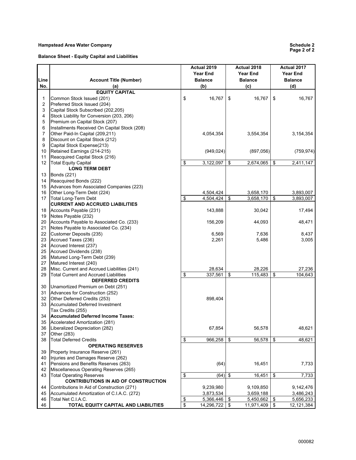#### **Hampstead Area Water Company**

**Balance Sheet - Equity Capital and Liabilities** 

| Line     | <b>Account Title (Number)</b>                                         |                 | Actual 2019<br><b>Year End</b><br><b>Balance</b> | Actual 2018<br><b>Year End</b><br><b>Balance</b> | Actual 2017<br><b>Year End</b><br><b>Balance</b> |            |  |
|----------|-----------------------------------------------------------------------|-----------------|--------------------------------------------------|--------------------------------------------------|--------------------------------------------------|------------|--|
| No.      | (a)                                                                   |                 | (b)                                              | (c)                                              |                                                  | (d)        |  |
|          | <b>EQUITY CAPITAL</b>                                                 |                 |                                                  |                                                  |                                                  |            |  |
| 1        | Common Stock Issued (201)                                             | \$              | 16,767                                           | \$<br>16,767                                     | \$                                               | 16,767     |  |
| 2        | Preferred Stock Issued (204)                                          |                 |                                                  |                                                  |                                                  |            |  |
| 3        | Capital Stock Subscribed (202,205)                                    |                 |                                                  |                                                  |                                                  |            |  |
| 4        | Stock Liability for Conversion (203, 206)                             |                 |                                                  |                                                  |                                                  |            |  |
| 5        | Premium on Capital Stock (207)                                        |                 |                                                  |                                                  |                                                  |            |  |
| 6        | Installments Received On Capital Stock (208)                          |                 |                                                  |                                                  |                                                  |            |  |
| 7        | Other Paid-In Capital (209,211)                                       |                 | 4,054,354                                        | 3,554,354                                        |                                                  | 3,154,354  |  |
| 8        | Discount on Capital Stock (212)                                       |                 |                                                  |                                                  |                                                  |            |  |
| 9        | Capital Stock Expense(213)                                            |                 |                                                  |                                                  |                                                  |            |  |
| 10       | Retained Earnings (214-215)                                           |                 | (949, 024)                                       | (897, 056)                                       |                                                  | (759, 974) |  |
| 11       | Reacquired Capital Stock (216)                                        |                 |                                                  |                                                  |                                                  |            |  |
| 12       | <b>Total Equity Capital</b>                                           | \$              | 3,122,097                                        | \$<br>2,674,065                                  | \$                                               | 2,411,147  |  |
|          | <b>LONG TERM DEBT</b>                                                 |                 |                                                  |                                                  |                                                  |            |  |
| 13       | Bonds (221)                                                           |                 |                                                  |                                                  |                                                  |            |  |
| 14       | Reacquired Bonds (222)                                                |                 |                                                  |                                                  |                                                  |            |  |
| 15       | Advances from Associated Companies (223)                              |                 |                                                  |                                                  |                                                  |            |  |
| 16       | Other Long-Term Debt (224)                                            |                 | 4,504,424                                        | 3,658,170                                        |                                                  | 3,893,007  |  |
| 17       | <b>Total Long-Term Debt</b>                                           | \$              | 4,504,424                                        | \$<br>3,658,170                                  | \$                                               | 3,893,007  |  |
|          | <b>CURRENT AND ACCRUED LIABILITIES</b>                                |                 |                                                  |                                                  |                                                  |            |  |
| 18       | Accounts Payable (231)                                                |                 | 143,888                                          | 30,042                                           |                                                  | 17,494     |  |
| 19       | Notes Payable (232)                                                   |                 |                                                  |                                                  |                                                  |            |  |
| 20       | Accounts Payable to Associated Co. (233)                              |                 | 156,209                                          | 44,093                                           |                                                  | 48,471     |  |
| 21       | Notes Payable to Associated Co. (234)                                 |                 |                                                  |                                                  |                                                  |            |  |
| 22<br>23 | Customer Deposits (235)                                               |                 | 6,569                                            | 7,636                                            |                                                  | 8,437      |  |
|          | Accrued Taxes (236)                                                   |                 | 2,261                                            | 5,486                                            |                                                  | 3,005      |  |
| 24       | Accrued Interest (237)                                                |                 |                                                  |                                                  |                                                  |            |  |
| 25<br>26 | Accrued Dividends (238)                                               |                 |                                                  |                                                  |                                                  |            |  |
| 27       | Matured Long-Term Debt (239)                                          |                 |                                                  |                                                  |                                                  |            |  |
| 28       | Matured Interest (240)<br>Misc. Current and Accrued Liabilities (241) |                 | 28,634                                           | 28,226                                           |                                                  | 27,236     |  |
| 29       | <b>Total Current and Accrued Liabilities</b>                          | \$              | 337,561                                          | \$<br>115,483                                    | \$                                               | 104,643    |  |
|          | <b>DEFERRED CREDITS</b>                                               |                 |                                                  |                                                  |                                                  |            |  |
| 30       | Unamortized Premium on Debt (251)                                     |                 |                                                  |                                                  |                                                  |            |  |
| 31       | Advances for Construction (252)                                       |                 |                                                  |                                                  |                                                  |            |  |
| 32       | Other Deferred Credits (253)                                          |                 | 898,404                                          |                                                  |                                                  |            |  |
| 33       | Accumulated Deferred Investment                                       |                 |                                                  |                                                  |                                                  |            |  |
|          | Tax Credits (255)                                                     |                 |                                                  |                                                  |                                                  |            |  |
| 34       | Accumulated Deferred Income Taxes:                                    |                 |                                                  |                                                  |                                                  |            |  |
| 35       | Accelerated Amortization (281)                                        |                 |                                                  |                                                  |                                                  |            |  |
| 36       | Liberalized Depreciation (282)                                        |                 | 67,854                                           | 56,578                                           |                                                  | 48,621     |  |
| 37       | Other (283)                                                           |                 |                                                  |                                                  |                                                  |            |  |
| 38       | <b>Total Deferred Credits</b>                                         | \$              | 966,258                                          | \$<br>56,578                                     | \$                                               | 48,621     |  |
|          | <b>OPERATING RESERVES</b>                                             |                 |                                                  |                                                  |                                                  |            |  |
| 39       | Property Insurance Reserve (261)                                      |                 |                                                  |                                                  |                                                  |            |  |
| 40       | Injuries and Damages Reserve (262)                                    |                 |                                                  |                                                  |                                                  |            |  |
| 41       | Pensions and Benefits Reserves (263)                                  |                 | (64)                                             | 16,451                                           |                                                  | 7,733      |  |
| 42       | Miscellaneous Operating Reserves (265)                                |                 |                                                  |                                                  |                                                  |            |  |
| 43       | <b>Total Operating Reserves</b>                                       | \$              | $(64)$ \$                                        | 16,451                                           | \$                                               | 7,733      |  |
|          | <b>CONTRIBUTIONS IN AID OF CONSTRUCTION</b>                           |                 |                                                  |                                                  |                                                  |            |  |
| 44       | Contributions In Aid of Construction (271)                            |                 | 9,239,980                                        | 9,109,850                                        |                                                  | 9,142,476  |  |
| 45       | Accumulated Amortization of C.I.A.C. (272)                            |                 | 3,873,534                                        | 3,659,188                                        |                                                  | 3,486,243  |  |
| 46       | Total Net C.I.A.C.                                                    | \$              | 5,366,446                                        | \$<br>5,450,662                                  | \$                                               | 5,656,233  |  |
| 46       | TOTAL EQUITY CAPITAL AND LIABILITIES                                  | $\overline{\$}$ | 14,296,722 \$                                    | $11,971,409$ \$                                  |                                                  | 12,121,384 |  |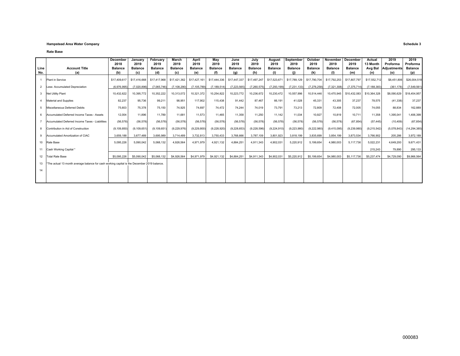#### **Hampstead Area Water Company Schedule 3**

**Rate Base**

| Line<br>No. | <b>Account Title</b><br>(a)                                                                    | December<br>2018<br><b>Balance</b><br>(b) | January<br>2019<br><b>Balance</b><br>(c) | February<br>2019<br><b>Balance</b><br>(d) | March<br>2019<br><b>Balance</b><br>(c) | April<br>2019<br><b>Balance</b><br>(e) | May<br>2019<br><b>Balance</b><br>(f) | June<br>2019<br><b>Balance</b><br>(g) | July<br>2019<br><b>Balance</b><br>(h) | August<br>2019<br><b>Balance</b><br>(i) | <b>September</b><br>2019<br><b>Balance</b><br>(i) | October<br>2019<br><b>Balance</b><br>(k) | November<br>2019<br><b>Balance</b><br>(1) | <b>December</b><br>2019<br><b>Balance</b><br>(m) | Actual<br>13 Month<br>Ava Bal<br>(n) | 2019<br>Proforma<br>Adiustments<br>(o) | 2019<br>Proforma<br><b>Balance</b><br>(p) |
|-------------|------------------------------------------------------------------------------------------------|-------------------------------------------|------------------------------------------|-------------------------------------------|----------------------------------------|----------------------------------------|--------------------------------------|---------------------------------------|---------------------------------------|-----------------------------------------|---------------------------------------------------|------------------------------------------|-------------------------------------------|--------------------------------------------------|--------------------------------------|----------------------------------------|-------------------------------------------|
|             | Plant in Service                                                                               | \$17,409,617                              | \$17,416,668                             |                                           | \$17,417,968 \$17,421,362 \$17,427,161 |                                        | \$17,444,336                         | \$17,447,337                          | \$17,497,247                          | \$17,523,671                            | \$17,789,129                                      | \$17,790,704                             | \$17,792,253                              | \$17,807,797                                     | \$17,552,712                         | \$8,451,806                            | \$26,004,518                              |
|             | 2 Less: Accumulated Depreciation                                                               | (6,976,995)                               | (7.020.896)                              | (7.065.746)                               | (7, 108, 290)                          | (7, 105, 789)                          | (7, 189, 514)                        | (7, 223, 565)                         | (7,260,575)                           | (7, 293, 199)                           | (7, 231, 133)                                     | (7, 276, 258)                            | (7, 321, 308)                             | (7, 375, 714)                                    | (7.188.383)                          | (361.178)                              | (7,549,561)                               |
|             | 3 Net Utility Plant                                                                            | 10,432,622                                | 10,395,772                               | 10,352,222                                | 10,313,072                             | 10,321,372                             | 10,254,822                           | 10,223,772                            | 10,236,672                            | 10,230,472                              | 10,557,996                                        | 10,514,446                               | 10,470,945                                | \$10,432,083                                     | \$10,364,328                         | \$8,090,629                            | \$18,454,957                              |
|             | 4 Material and Supplies                                                                        | 82,237                                    | 95,736                                   | 99,211                                    | 98,951                                 | 117,902                                | 115,438                              | 91,442                                | 87.467                                | 66,191                                  | 41,028                                            | 45,331                                   | 43,305                                    | 37,237                                           | 78,575                               | (41, 338)                              | 37,237                                    |
|             | 5 Miscellaneous Deferred Debits                                                                | 75,603                                    | 75.378                                   | 75,150                                    | 74.925                                 | 74.697                                 | 74.472                               | 74.244                                | 74.019                                | 73.791                                  | 73.213                                            | 72,809                                   | 72.408                                    | 72.005                                           | 74.055                               | 88.834                                 | 162,889                                   |
|             | 6 Accumulated Deferred Income Taxes - Assets                                                   | 12.004                                    | 11.896                                   | 11.789                                    | 11.681                                 | 11.573                                 | 11.465                               | 11.358                                | 11.250                                | 11.142                                  | 11.034                                            | 10,927                                   | 10,819                                    | 10.711                                           | 11,358                               | 1,395,041                              | 1,406,399                                 |
|             | 7 Accumulated Deferred Income Taxes - Liabilities                                              | (56, 578)                                 | (56, 578)                                | (56, 578)                                 | (56, 578)                              | (56, 578)                              | (56, 578)                            | (56, 578)                             | (56, 578)                             | (56, 578)                               | (56, 578)                                         | (56, 578)                                | (56, 578)                                 | (67, 854)                                        | (57, 445)                            | (10, 409)                              | (67, 854)                                 |
|             | 8 Contribution in Aid of Construction                                                          | (9, 109, 850)                             | (9, 109, 651)                            | (9, 109, 651)                             | (9,229,976)                            | (9,229,800)                            | (9,228,920)                          | (9,228,653)                           | (9,228,596)                           | (9,224,910)                             | (9,223,980)                                       | (9,222,980)                              | (9,415,095)                               | (9,239,980)                                      | (9, 215, 542)                        | (5,078,843)                            | (14, 294, 385)                            |
|             | 9 Accumulated Amortization of CIAC                                                             | 3.659.188                                 | 3,677,489                                | 3.695.989                                 | 3,714,489                              | 3.732.813                              | 3,750,433                            | 3.768.666                             | 3,787,109                             | 3,801,923                               | 3,818,199                                         | 3.835.699                                | 3,854,199                                 | 3,873,534                                        | 3.766.902                            | 205.286                                | 3,972,189                                 |
|             | 10 Rate Base                                                                                   | 5,095,226                                 | 5,090,042                                | 5,068,132                                 | 4,926,564                              | 4.971.979                              | 4.921.132                            | 4.884.251                             | 4.911.343                             | 4.902.031                               | 5,220,912                                         | 5,199,654                                | 4,980,003                                 | 5.117.736                                        | 5,022,231                            | 4,649,200                              | 9,671,431                                 |
|             | 11 Cash Working Capital *                                                                      |                                           |                                          |                                           |                                        |                                        |                                      |                                       |                                       |                                         |                                                   |                                          |                                           |                                                  | 215.243                              | 79,890                                 | 295,133                                   |
|             | 12 Total Rate Base                                                                             | \$5,095,226                               | \$5,090,042                              | \$5,068,132                               | \$4,926,564                            | \$4,971,979                            | \$4,921,132                          | \$4,884,251                           | \$4,911,343                           | \$4,902,031                             | \$5,220,912                                       | \$5,199,654                              | \$4,980,003                               | \$5,117,736                                      | \$5,237,474                          | \$4,729,090                            | \$9,966,564                               |
|             | 13 *The actual 13 month average balance for cash working capital is the December 2019 balance. |                                           |                                          |                                           |                                        |                                        |                                      |                                       |                                       |                                         |                                                   |                                          |                                           |                                                  |                                      |                                        |                                           |
| 14          |                                                                                                |                                           |                                          |                                           |                                        |                                        |                                      |                                       |                                       |                                         |                                                   |                                          |                                           |                                                  |                                      |                                        |                                           |
|             |                                                                                                |                                           |                                          |                                           |                                        |                                        |                                      |                                       |                                       |                                         |                                                   |                                          |                                           |                                                  |                                      |                                        |                                           |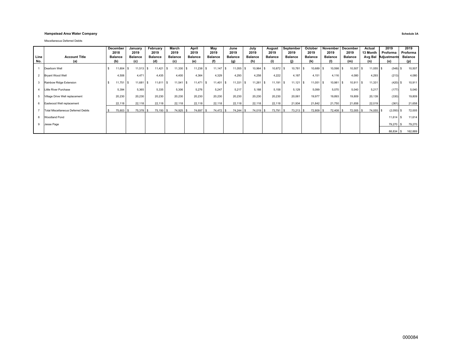#### **Hampstead Area Water Company Schedule 3A**

Miscellaneous Deferred Debits

|      |                                     | December<br>2018 | January<br>2019 | February<br>2019 | March<br>2019  | April<br>2019  | May<br>2019    | June<br>2019   | July<br>2019     | August<br>2019 | September<br>2019 | October<br>2019 | November<br>2019 | December<br>2019  | Actual<br>13 Month | 2019<br>Proforma    | 2019<br>Proforma |
|------|-------------------------------------|------------------|-----------------|------------------|----------------|----------------|----------------|----------------|------------------|----------------|-------------------|-----------------|------------------|-------------------|--------------------|---------------------|------------------|
| Line | <b>Account Title</b>                | <b>Balance</b>   | <b>Balance</b>  | <b>Balance</b>   | <b>Balance</b> | <b>Balance</b> | <b>Balance</b> | <b>Balance</b> | <b>Balance</b>   | <b>Balance</b> | <b>Balance</b>    | <b>Balance</b>  | <b>Balance</b>   | <b>Balance</b>    |                    | Avg Bal Adjustments | <b>Balance</b>   |
| No.  | (a)                                 | (b)              | (c)             | (d)              | (c)            | (e)            | (f)            | (g)            | (h)              | (i)            |                   | (k)             | (1)              | (m)               | (n)                | (o)                 | (p)              |
|      | Dearborn Well                       | 11,604           | $11,513$ \$     | $11,421$ \$      | $11,330$ \$    | $11,238$ \$    | $11,147$ \$    | 11,055         | 10,964 \$<br>-S  | 10,872 \$      | 10,781 \$         | 10,689 \$       | 10,598           | $10,507$ \$<br>-S | $11,055$ \$        | (548)               | 10,507           |
|      | <b>Bryant Wood Well</b>             | 4,506            | 4.471           | 4.435            | 4.400          | 4.364          | 4,329          | 4.293          | 4.258            | 4.222          | 4.187             | 4.151           | 4,116            | 4.080             | 4.293              | (213)               | 4,080            |
|      | Rainbow Ridge Extension             | 11,751           | 11,681          | $11,611$ \$      | $11,541$ \$    | $11,471$ \$    | $11,401$ \$    | 11,331         | $11,261$ \$<br>s | $11,191$ \$    | $11,121$ \$       | $11,051$ \$     | 10,981           | $10,911$ \$       | 11,331             | (420)               | 10,911           |
|      | Little River Purchase               | 5,394            | 5,365           | 5,335            | 5,306          | 5.276          | 5.247          | 5.217          | 5.188            | 5.158          | 5.129             | 5.099           | 5,070            | 5,040             | 5,217              | (177)               | 5,040            |
|      | Village Drive Well replacement      | 20,230           | 20,230          | 20,230           | 20,230         | 20,230         | 20,230         | 20,230         | 20,230           | 20,230         | 20,061            | 19,977          | 19,893           | 19,809            | 20,139             | (330)               | 19,809           |
|      | Eastwood Well replacement           | 22,118           | 22,118          | 22,118           | 22,118         | 22,118         | 22,118         | 22,118         | 22,118           | 22,118         | 21,934            | 21,842          | 21,750           | 21,658            | 22,019             | (361)               | 21,658           |
|      | Total Miscellaneous Deferred Debits | 75,603 \$        | 75,378 \$       | 75,150 \$        | 74,925 \$      | 74,697 \$      | 74,472 \$      | 74,244         | 74,019 \$<br>s   | 73,791 \$      | $73,213$ \$       | 72,809 \$       | 72,408 \$        | 72,005 \$         | 74,055 \$          | $(2,050)$ \$        | 72,005           |
|      | <b>Woodland Pond</b>                |                  |                 |                  |                |                |                |                |                  |                |                   |                 |                  |                   |                    | $11,614$ \$         | 11,614           |
|      | Jesse Page                          |                  |                 |                  |                |                |                |                |                  |                |                   |                 |                  |                   |                    | 79,270 \$           | 79,270           |
|      |                                     |                  |                 |                  |                |                |                |                |                  |                |                   |                 |                  |                   |                    | 88,834 \$           | 162,889          |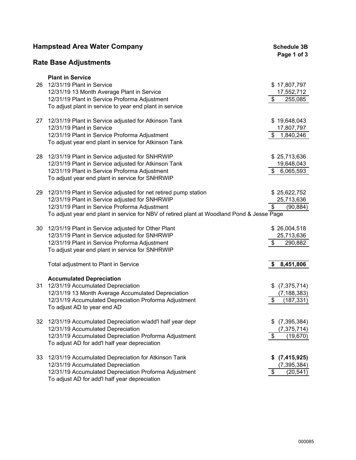|    | <b>Hampstead Area Water Company</b>                                                        |                             |  |  |  |  |  |
|----|--------------------------------------------------------------------------------------------|-----------------------------|--|--|--|--|--|
|    | <b>Rate Base Adjustments</b>                                                               | Page 1 of 3                 |  |  |  |  |  |
|    | <b>Plant in Service</b>                                                                    |                             |  |  |  |  |  |
| 26 | 12/31/19 Plant in Service                                                                  | \$17,807,797                |  |  |  |  |  |
|    | 12/31/19 13 Month Average Plant in Service                                                 | 17,552,712                  |  |  |  |  |  |
|    | 12/31/19 Plant in Service Proforma Adjustment                                              | \$<br>255,085               |  |  |  |  |  |
|    | To adjust plant in service to year end plant in service                                    |                             |  |  |  |  |  |
| 27 | 12/31/19 Plant in Service adjusted for Atkinson Tank                                       | \$19,648,043                |  |  |  |  |  |
|    | 12/31/19 Plant in Service                                                                  | 17,807,797                  |  |  |  |  |  |
|    | 12/31/19 Plant in Service Proforma Adjustment                                              | \$<br>1,840,246             |  |  |  |  |  |
|    | To adjust year end plant in service for Atkinson Tank                                      |                             |  |  |  |  |  |
| 28 | 12/31/19 Plant in Service adjusted for SNHRWIP                                             | \$25,713,636                |  |  |  |  |  |
|    | 12/31/19 Plant in Service adjusted for Atkinson Tank                                       | 19,648,043                  |  |  |  |  |  |
|    | 12/31/19 Plant in Service Proforma Adjustment                                              | 6,065,593<br>\$             |  |  |  |  |  |
|    | To adjust year end plant in service for SNHRWIP                                            |                             |  |  |  |  |  |
| 29 | 12/31/19 Plant in Service adjusted for net retired pump station                            | \$25,622,752                |  |  |  |  |  |
|    | 12/31/19 Plant in Service adjusted for SNHRWIP                                             | 25,713,636                  |  |  |  |  |  |
|    | 12/31/19 Plant in Service Proforma Adjustment                                              | \$<br>(90,884)              |  |  |  |  |  |
|    | To adjust year end plant in service for NBV of retired plant at Woodland Pond & Jesse Page |                             |  |  |  |  |  |
| 30 | 12/31/19 Plant in Service adjusted for Other Plant                                         | \$26,004,518                |  |  |  |  |  |
|    | 12/31/19 Plant in Service adjusted for SNHRWIP                                             | 25,713,636                  |  |  |  |  |  |
|    | 12/31/19 Plant in Service Proforma Adjustment                                              | \$<br>290,882               |  |  |  |  |  |
|    | To adjust year end plant in service for SNHRWIP                                            |                             |  |  |  |  |  |
|    | Total adjustment to Plant in Service                                                       | 8,451,806<br>S.             |  |  |  |  |  |
|    | <b>Accumulated Depreciation</b>                                                            |                             |  |  |  |  |  |
| 31 | 12/31/19 Accumulated Depreciation                                                          | (7, 375, 714)               |  |  |  |  |  |
|    | 12/31/19 13 Month Average Accumulated Depreciation                                         | (7, 188, 383)               |  |  |  |  |  |
|    | 12/31/19 Accumulated Depreciation Proforma Adjustment                                      | $\frac{1}{2}$<br>(187, 331) |  |  |  |  |  |
|    | To adjust AD to year end AD                                                                |                             |  |  |  |  |  |
| 32 | 12/31/19 Accumulated Depreciation w/add'l half year depr                                   | (7, 395, 384)<br>\$         |  |  |  |  |  |
|    | 12/31/19 Accumulated Depreciation                                                          | (7, 375, 714)               |  |  |  |  |  |
|    | 12/31/19 Accumulated Depreciation Proforma Adjustment                                      | \$<br>(19, 670)             |  |  |  |  |  |
|    | To adjust AD for add'l half year depreciation                                              |                             |  |  |  |  |  |
| 33 | 12/31/19 Accumulated Depreciation for Atkinson Tank                                        | (7, 415, 925)<br>\$         |  |  |  |  |  |
|    | 12/31/19 Accumulated Depreciation                                                          | (7, 395, 384)               |  |  |  |  |  |
|    | 12/31/19 Accumulated Depreciation Proforma Adjustment                                      | \$<br>(20, 541)             |  |  |  |  |  |
|    | To adjust AD for add'l half year depreciation                                              |                             |  |  |  |  |  |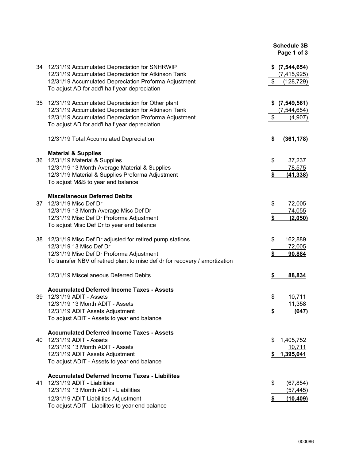|    |                                                                                                                                                                                                                         | <b>Schedule 3B</b><br>Page 1 of 3                      |
|----|-------------------------------------------------------------------------------------------------------------------------------------------------------------------------------------------------------------------------|--------------------------------------------------------|
|    | 34 12/31/19 Accumulated Depreciation for SNHRWIP<br>12/31/19 Accumulated Depreciation for Atkinson Tank<br>12/31/19 Accumulated Depreciation Proforma Adjustment<br>To adjust AD for add'l half year depreciation       | $$$ $(7,544,654)$<br>(7, 415, 925)<br>\$<br>(128, 729) |
| 35 | 12/31/19 Accumulated Depreciation for Other plant<br>12/31/19 Accumulated Depreciation for Atkinson Tank<br>12/31/19 Accumulated Depreciation Proforma Adjustment<br>To adjust AD for add'l half year depreciation      | $$$ $(7,549,561)$<br>(7, 544, 654)<br>\$<br>(4,907)    |
|    | 12/31/19 Total Accumulated Depreciation                                                                                                                                                                                 | \$<br>(361, 178)                                       |
| 36 | <b>Material &amp; Supplies</b><br>12/31/19 Material & Supplies<br>12/31/19 13 Month Average Material & Supplies<br>12/31/19 Material & Supplies Proforma Adjustment<br>To adjust M&S to year end balance                | \$<br>37,237<br>78,575<br>\$<br>(41, 338)              |
| 37 | <b>Miscellaneous Deferred Debits</b><br>12/31/19 Misc Def Dr<br>12/31/19 13 Month Average Misc Def Dr<br>12/31/19 Misc Def Dr Proforma Adjustment<br>To adjust Misc Def Dr to year end balance                          | \$<br>72,005<br>74,055<br>\$<br>(2,050)                |
| 38 | 12/31/19 Misc Def Dr adjusted for retired pump stations<br>12/31/19 13 Misc Def Dr<br>12/31/19 Misc Def Dr Proforma Adjustment<br>To transfer NBV of retired plant to misc def dr for recovery / amortization           | 162,889<br>\$<br>72,005<br>\$<br>90,884                |
|    | 12/31/19 Miscellaneous Deferred Debits                                                                                                                                                                                  | 88,834<br>S                                            |
| 39 | <b>Accumulated Deferred Income Taxes - Assets</b><br>12/31/19 ADIT - Assets<br>12/31/19 13 Month ADIT - Assets<br>12/31/19 ADIT Assets Adjustment<br>To adjust ADIT - Assets to year end balance                        | \$<br>10,711<br>11,358<br>(647)<br>\$                  |
| 40 | <b>Accumulated Deferred Income Taxes - Assets</b><br>12/31/19 ADIT - Assets<br>12/31/19 13 Month ADIT - Assets<br>12/31/19 ADIT Assets Adjustment<br>To adjust ADIT - Assets to year end balance                        | 1,405,752<br>S.<br>10,711<br>1,395,041<br>\$           |
| 41 | <b>Accumulated Deferred Income Taxes - Liabilites</b><br>12/31/19 ADIT - Liabilities<br>12/31/19 13 Month ADIT - Liabilities<br>12/31/19 ADIT Liabilities Adjustment<br>To adjust ADIT - Liabilites to year end balance | \$<br>(67, 854)<br>(57, 445)<br>(10, 409)<br>\$        |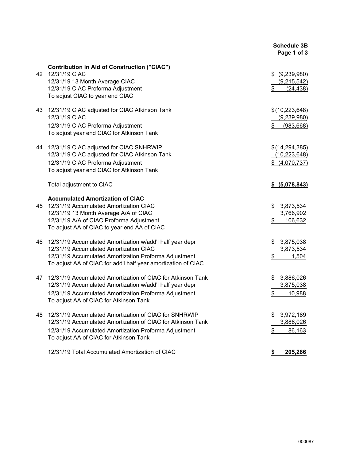|    |                                                                                                                                                                                                                                                                            | <b>Schedule 3B</b><br>Page 1 of 3                             |
|----|----------------------------------------------------------------------------------------------------------------------------------------------------------------------------------------------------------------------------------------------------------------------------|---------------------------------------------------------------|
| 42 | <b>Contribution in Aid of Construction ("CIAC")</b><br>12/31/19 CIAC<br>12/31/19 13 Month Average CIAC<br>12/31/19 CIAC Proforma Adjustment<br>To adjust CIAC to year end CIAC                                                                                             | \$ (9,239,980)<br>(9,215,542)<br>\$<br>(24, 438)              |
| 43 | 12/31/19 CIAC adjusted for CIAC Atkinson Tank<br>12/31/19 CIAC<br>12/31/19 CIAC Proforma Adjustment<br>To adjust year end CIAC for Atkinson Tank                                                                                                                           | \$(10,223,648)<br>(9,239,980)<br>\$<br>(983, 668)             |
| 44 | 12/31/19 CIAC adjusted for CIAC SNHRWIP<br>12/31/19 CIAC adjusted for CIAC Atkinson Tank<br>12/31/19 CIAC Proforma Adjustment<br>To adjust year end CIAC for Atkinson Tank                                                                                                 | \$(14,294,385)<br>(10, 223, 648)<br>\$ (4,070,737)            |
|    | Total adjustment to CIAC                                                                                                                                                                                                                                                   | \$ (5,078,843)                                                |
| 45 | <b>Accumulated Amortization of CIAC</b><br>12/31/19 Accumulated Amortization CIAC<br>12/31/19 13 Month Average A/A of CIAC<br>12/31/19 A/A of CIAC Proforma Adjustment<br>To adjust AA of CIAC to year end AA of CIAC                                                      | \$<br>3,873,534<br>3,766,902<br>\$<br>106,632                 |
| 46 | 12/31/19 Accumulated Amortization w/add'l half year depr<br>12/31/19 Accumulated Amortization CIAC<br>12/31/19 Accumulated Amortization Proforma Adjustment<br>To adjust AA of CIAC for add'l half year amortization of CIAC                                               | 3,875,038<br>\$<br>3,873,534<br>\$<br>1,504                   |
| 47 | 12/31/19 Accumulated Amortization of CIAC for Atkinson Tank<br>12/31/19 Accumulated Amortization w/add'l half year depr<br>12/31/19 Accumulated Amortization Proforma Adjustment<br>To adjust AA of CIAC for Atkinson Tank                                                 | 3,886,026<br>\$<br>3,875,038<br>\$<br>10,988                  |
| 48 | 12/31/19 Accumulated Amortization of CIAC for SNHRWIP<br>12/31/19 Accumulated Amortization of CIAC for Atkinson Tank<br>12/31/19 Accumulated Amortization Proforma Adjustment<br>To adjust AA of CIAC for Atkinson Tank<br>12/31/19 Total Accumulated Amortization of CIAC | \$<br>3,972,189<br>3,886,026<br>\$<br>86,163<br>205,286<br>\$ |
|    |                                                                                                                                                                                                                                                                            |                                                               |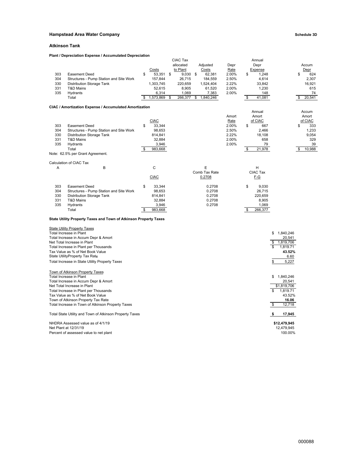#### **Hampstead Area Water Company Company Company Schedule 3D**

#### **Atkinson Tank**

#### **Plant / Depreciation Expense / Accumulated Depreciation**

|     |                                                                  |                 | CIAC Tax  |            |                 |               |     | Annual           |              |                  |
|-----|------------------------------------------------------------------|-----------------|-----------|------------|-----------------|---------------|-----|------------------|--------------|------------------|
|     |                                                                  |                 | allocated |            | Adjusted        | Depr          |     | Depr             |              | Accum            |
|     |                                                                  | Costs           | to Plant  |            | Costs           | Rate          |     | Expense          |              | Depr             |
| 303 | <b>Easement Deed</b>                                             | \$<br>53,351 \$ |           | $9,030$ \$ | 62,381          | 2.00%         | \$  | 1,248            |              | \$<br>624        |
| 304 | Structures - Pump Station and Site Work                          | 157,844         |           | 26,715     | 184,559         | 2.50%         |     | 4,614            |              | 2,307            |
| 330 | <b>Distribution Storage Tank</b>                                 | 1,303,745       |           | 220,659    | 1,524,404       | 2.22%         |     | 33,842           |              | 16,921           |
| 331 | T&D Mains                                                        | 52,615          |           | 8,905      | 61,520          | 2.00%         |     | 1,230            |              | 615              |
| 335 | Hydrants                                                         | 6,314           |           | 1,069      | 7,383           | 2.00%         |     | 148              |              | 74               |
|     | Total                                                            | 1,573,869       | \$        | 266,377    | 1,840,246<br>\$ |               | \$  | 41,081           |              | 20,541<br>\$     |
|     |                                                                  |                 |           |            |                 |               |     |                  |              |                  |
|     | CIAC / Amortization Expense / Accumulated Amortization           |                 |           |            |                 |               |     |                  |              |                  |
|     |                                                                  |                 |           |            |                 |               |     | Annual           |              | Accum            |
|     |                                                                  | <b>CIAC</b>     |           |            |                 | Amort         |     | Amort<br>of CIAC |              | Amort<br>of CIAC |
| 303 | <b>Easement Deed</b>                                             | \$<br>33,344    |           |            |                 | Rate<br>2.00% | \$  | 667              |              | \$<br>333        |
| 304 | Structures - Pump Station and Site Work                          | 98,653          |           |            |                 | 2.50%         |     | 2,466            |              | 1,233            |
| 330 | <b>Distribution Storage Tank</b>                                 | 814,841         |           |            |                 | 2.22%         |     | 18,108           |              | 9,054            |
| 331 | T&D Mains                                                        | 32,884          |           |            |                 | 2.00%         |     | 658              |              | 329              |
| 335 | Hydrants                                                         | 3,946           |           |            |                 | 2.00%         |     | 79               |              | 39               |
|     | Total                                                            | \$<br>983,668   |           |            |                 |               | -\$ | 21,978           |              | 10,988<br>\$     |
|     | Note: 62.5% per Grant Agreement.                                 |                 |           |            |                 |               |     |                  |              |                  |
|     |                                                                  |                 |           |            |                 |               |     |                  |              |                  |
|     | Calculation of CIAC Tax                                          |                 |           |            |                 |               |     |                  |              |                  |
| Α   | В                                                                | C               |           |            | Е               |               |     | н                |              |                  |
|     |                                                                  |                 |           |            | Comb Tax Rate   |               |     | CIAC Tax         |              |                  |
|     |                                                                  | <b>CIAC</b>     |           |            | 0.2708          |               |     | F-G              |              |                  |
|     |                                                                  |                 |           |            |                 |               |     |                  |              |                  |
| 303 | <b>Easement Deed</b>                                             | \$<br>33,344    |           |            | 0.2708          |               | \$  | 9,030            |              |                  |
| 304 | Structures - Pump Station and Site Work                          | 98,653          |           |            | 0.2708          |               |     | 26,715           |              |                  |
| 330 | <b>Distribution Storage Tank</b>                                 | 814,841         |           |            | 0.2708          |               |     | 220,659          |              |                  |
| 331 | T&D Mains                                                        | 32,884          |           |            | 0.2708          |               |     | 8,905            |              |                  |
| 335 | Hydrants                                                         | 3,946           |           |            | 0.2708          |               |     | 1,069            |              |                  |
|     | Total                                                            | \$<br>983,668   |           |            |                 |               | \$  | 266,377          |              |                  |
|     | State Utility Property Taxes and Town of Atkinson Property Taxes |                 |           |            |                 |               |     |                  |              |                  |
|     |                                                                  |                 |           |            |                 |               |     |                  |              |                  |
|     | <b>State Utility Property Taxes</b><br>Total Increase in Plant   |                 |           |            |                 |               |     | \$               | 1,840,246    |                  |
|     | Total Increase in Accum Depr & Amort                             |                 |           |            |                 |               |     |                  | 20,541       |                  |
|     | Net Total Increase in Plant                                      |                 |           |            |                 |               |     | \$               | 1,819,706    |                  |
|     | Total Increase in Plant per Thousands                            |                 |           |            |                 |               |     | \$               | 1,819.71     |                  |
|     | Tax Value as % of Net Book Value                                 |                 |           |            |                 |               |     |                  | 43.52%       |                  |
|     | State UtilityProperty Tax Rate                                   |                 |           |            |                 |               |     |                  | 6.60         |                  |
|     | Total Increase in State Utility Property Taxes                   |                 |           |            |                 |               |     | \$               | 5,227        |                  |
|     |                                                                  |                 |           |            |                 |               |     |                  |              |                  |
|     | <b>Town of Atkinson Property Taxes</b>                           |                 |           |            |                 |               |     |                  |              |                  |
|     | Total Increase in Plant                                          |                 |           |            |                 |               |     | \$               | 1,840,246    |                  |
|     | Total Increase in Accum Depr & Amort                             |                 |           |            |                 |               |     |                  | 20,541       |                  |
|     | Net Total Increase in Plant                                      |                 |           |            |                 |               |     |                  | \$1,819,706  |                  |
|     | Total Increase in Plant per Thousands                            |                 |           |            |                 |               |     | \$               | 1,819.71     |                  |
|     | Tax Value as % of Net Book Value                                 |                 |           |            |                 |               |     |                  | 43.52%       |                  |
|     | Town of Atkinson Property Tax Rate                               |                 |           |            |                 |               |     |                  | 16.06        |                  |
|     | Total Increase in Town of Atkinson Property Taxes                |                 |           |            |                 |               |     | \$               | 12,718       |                  |
|     | Total State Utility and Town of Atkinson Property Taxes          |                 |           |            |                 |               |     | \$               | 17,945       |                  |
|     | NHDRA Assessed value as of 4/1/19                                |                 |           |            |                 |               |     |                  | \$12,479,945 |                  |
|     | Net Plant at 12/31/19                                            |                 |           |            |                 |               |     |                  | 12,479,945   |                  |

Percent of assessed value to net plant 100.00%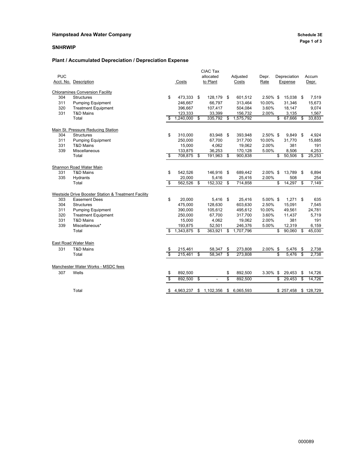### **Hampstead Area Water Company Company Company Schedule 3E**

#### **SNHRWIP**

#### **Plant / Accumulated Depreciation / Depreciation Expense**

|            |                                                     |         |            | CIAC Tax             |    |           |             |                              |    |           |
|------------|-----------------------------------------------------|---------|------------|----------------------|----|-----------|-------------|------------------------------|----|-----------|
| <b>PUC</b> |                                                     |         |            | allocated            |    | Adjusted  | Depr.       | Depreciation                 |    | Accum     |
|            | Acct. No. Description                               |         | Costs      | to Plant             |    | Costs     | Rate        | Expense                      |    | Depr.     |
|            | <b>Chloramines Conversion Facility</b>              |         |            |                      |    |           |             |                              |    |           |
| 304        | <b>Structures</b>                                   | \$      | 473,333    | \$<br>128,179        | \$ | 601,512   | 2.50% \$    | 15,038 \$                    |    | 7,519     |
| 311        | <b>Pumping Equipment</b>                            |         | 246,667    | 66,797               |    | 313,464   | 10.00%      | 31,346                       |    | 15,673    |
| 320        | <b>Treatment Equipment</b>                          |         | 396,667    | 107,417              |    | 504,084   | 3.60%       | 18,147                       |    | 9,074     |
| 331        | T&D Mains                                           |         | 123,333    | 33,399               |    | 156,732   | 2.00%       | 3,135                        |    | 1,567     |
|            | Total                                               | \$      | 1,240,000  | \$<br>335,792        | \$ | 1,575,792 |             | \$<br>67,666 \$              |    | 33,833    |
|            | Main St. Pressure Reducing Station                  |         |            |                      |    |           |             |                              |    |           |
| 304        | <b>Structures</b>                                   | \$      | 310,000    | 83,948               | \$ | 393,948   | $2.50\%$ \$ | $9,849$ \$                   |    | 4,924     |
| 311        | <b>Pumping Equipment</b>                            |         | 250,000    | 67,700               |    | 317,700   | 10.00%      | 31,770                       |    | 15,885    |
| 331        | <b>T&amp;D Mains</b>                                |         | 15,000     | 4,062                |    | 19,062    | 2.00%       | 381                          |    | 191       |
| 339        | Miscellaneous                                       |         | 133,875    | 36,253               |    | 170,128   | 5.00%       | 8,506                        |    | 4,253     |
|            | Total                                               | \$      | 708,875 \$ | 191,963              | \$ | 900,838   |             | \$<br>$\overline{50,506}$ \$ |    | 25,253    |
|            | Shannon Road Water Main                             |         |            |                      |    |           |             |                              |    |           |
| 331        | <b>T&amp;D Mains</b>                                | \$      | 542,526    | 146,916              | \$ | 689,442   | 2.00% \$    | 13,789 \$                    |    | 6,894     |
| 335        | Hydrants                                            |         | 20,000     | 5,416                |    | 25,416    | 2.00%       | 508                          |    | 254       |
|            | Total                                               | \$      | 562,526    | \$<br>152,332        | \$ | 714,858   |             | \$<br>14,297                 | க  | 7,149     |
|            | Westside Drive Booster Station & Treatment Facility |         |            |                      |    |           |             |                              |    |           |
| 303        | <b>Easement Dees</b>                                | \$      | 20,000     | 5,416 \$             |    | 25,416    | 5.00% \$    | $1,271$ \$                   |    | 635       |
| 304        | <b>Structures</b>                                   |         | 475,000    | 128,630              |    | 603,630   | 2.50%       | 15,091                       |    | 7,545     |
| 311        | <b>Pumping Equipment</b>                            |         | 390,000    | 105,612              |    | 495,612   | 10.00%      | 49,561                       |    | 24,781    |
| 320        | <b>Treatment Equipment</b>                          |         | 250,000    | 67,700               |    | 317,700   | 3.60%       | 11,437                       |    | 5,719     |
| 331        | T&D Mains                                           |         | 15,000     | 4,062                |    | 19,062    | 2.00%       | 381                          |    | 191       |
| 339        | Miscellaneous*                                      |         | 193,875    | 52,501               |    | 246,376   | 5.00%       | 12,319                       |    | 6,159     |
|            | Total                                               | \$      | 1,343,875  | \$<br>363,921        | \$ | 1,707,796 |             | \$<br>90,060                 | \$ | 45,030    |
|            | East Road Water Main                                |         |            |                      |    |           |             |                              |    |           |
| 331        | <b>T&amp;D Mains</b>                                |         | 215,461    | 58,347               | \$ | 273,808   | 2.00% \$    | 5,476 \$                     |    | 2,738     |
|            | Total                                               | \$<br>S | 215,461    | \$<br>58,347         | \$ | 273,808   |             | \$<br>5,476                  | க  | 2,738     |
|            |                                                     |         |            |                      |    |           |             |                              |    |           |
|            | Manchester Water Works - MSDC fees                  |         |            |                      |    |           |             |                              |    |           |
| 307        | Wells                                               | \$      | 892,500    |                      | \$ | 892,500   | 3.30% \$    | 29,453                       | \$ | 14,726    |
|            |                                                     | s       | 892,500    | \$<br>$\blacksquare$ | \$ | 892,500   |             | \$<br>29.453                 | \$ | 14,726    |
|            | Total                                               | \$      | 4,963,237  | \$1,102,356          | S. | 6,065,593 |             | \$257,458                    |    | \$128,729 |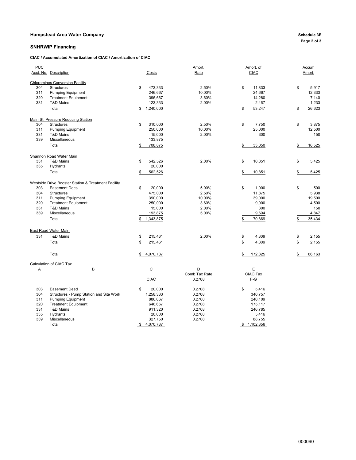#### **Hampstead Area Water Company Schedule 3E**

#### **SNHRWIP Financing**

**CIAC / Accumulated Amortization of CIAC / Amortization of CIAC**

| <b>PUC</b> |                                                     |                 | Amort.        | Amort. of     | Accum        |
|------------|-----------------------------------------------------|-----------------|---------------|---------------|--------------|
|            | Acct. No. Description                               | Costs           | Rate          | <b>CIAC</b>   | Amort.       |
|            | <b>Chloramines Conversion Facility</b>              |                 |               |               |              |
| 304        | Structures                                          | 473,333<br>\$   | 2.50%         | \$<br>11,833  | \$<br>5,917  |
| 311        | <b>Pumping Equipment</b>                            | 246,667         | 10.00%        | 24,667        | 12,333       |
| 320        | <b>Treatment Equipment</b>                          | 396,667         | 3.60%         | 14,280        | 7,140        |
| 331        | T&D Mains                                           | 123,333         | 2.00%         | 2,467         | 1,233        |
|            | Total                                               | 1,240,000<br>\$ |               | 53,247<br>\$  | 26,623<br>\$ |
|            |                                                     |                 |               |               |              |
|            | Main St. Pressure Reducing Station                  |                 |               |               |              |
| 304        | <b>Structures</b>                                   | \$<br>310,000   | 2.50%         | \$<br>7,750   | \$<br>3,875  |
| 311        | <b>Pumping Equipment</b>                            | 250,000         | 10.00%        | 25,000        | 12,500       |
| 331        | T&D Mains                                           | 15,000          | 2.00%         | 300           | 150          |
| 339        | Miscellaneous                                       | 133,875         |               |               |              |
|            | Total                                               | 708,875<br>\$   |               | \$<br>33,050  | 16,525<br>\$ |
|            |                                                     |                 |               |               |              |
|            | Shannon Road Water Main                             |                 |               |               |              |
| 331        | <b>T&amp;D Mains</b>                                | \$<br>542,526   | 2.00%         | \$<br>10,851  | \$<br>5,425  |
| 335        | Hydrants                                            | 20,000          |               |               |              |
|            | Total                                               | \$<br>562,526   |               | \$<br>10,851  | 5,425<br>\$  |
|            | Westside Drive Booster Station & Treatment Facility |                 |               |               |              |
| 303        | <b>Easement Dees</b>                                | \$<br>20.000    | 5.00%         | \$<br>1,000   | \$<br>500    |
| 304        | <b>Structures</b>                                   | 475,000         | 2.50%         | 11,875        | 5,938        |
| 311        | <b>Pumping Equipment</b>                            | 390,000         | 10.00%        | 39,000        | 19,500       |
| 320        | <b>Treatment Equipment</b>                          | 250,000         | 3.60%         | 9,000         | 4,500        |
| 331        | T&D Mains                                           | 15,000          | 2.00%         | 300           | 150          |
| 339        | Miscellaneous                                       | 193,875         | 5.00%         | 9,694         | 4,847        |
|            | Total                                               | 1,343,875       |               | 70,869<br>\$  | 35,434<br>\$ |
|            |                                                     |                 |               |               |              |
|            | East Road Water Main                                |                 |               |               |              |
| 331        | <b>T&amp;D Mains</b>                                | \$<br>215,461   | 2.00%         | 4,309<br>\$   | 2,155<br>\$  |
|            | Total                                               | \$<br>215,461   |               | 4,309<br>\$   | 2,155<br>\$  |
|            |                                                     |                 |               |               |              |
|            | Total                                               | 4,070,737<br>\$ |               | 172,325<br>\$ | 86,163<br>\$ |
|            | Calculation of CIAC Tax                             |                 |               |               |              |
| Α          | B                                                   | $\mathsf{C}$    | D             | Ε             |              |
|            |                                                     |                 | Comb Tax Rate | CIAC Tax      |              |
|            |                                                     | <b>CIAC</b>     | 0.2708        | <u>F-G</u>    |              |
| 303        | Easement Deed                                       | 20,000<br>\$    | 0.2708        | \$<br>5,416   |              |
| 304        | Structures - Pump Station and Site Work             | 1,258,333       | 0.2708        | 340,757       |              |
| 311        | <b>Pumping Equipment</b>                            | 886,667         | 0.2708        | 240,109       |              |
| 320        | <b>Treatment Equipment</b>                          | 646,667         | 0.2708        | 175,117       |              |
| 331        | <b>T&amp;D Mains</b>                                | 911,320         | 0.2708        | 246,785       |              |
| 335        | Hydrants                                            | 20,000          | 0.2708        | 5,416         |              |
| 339        | Miscellaneous                                       | 327,750         | 0.2708        | 88,755        |              |
|            | Total                                               | 4,070,737<br>\$ |               | \$1,102,356   |              |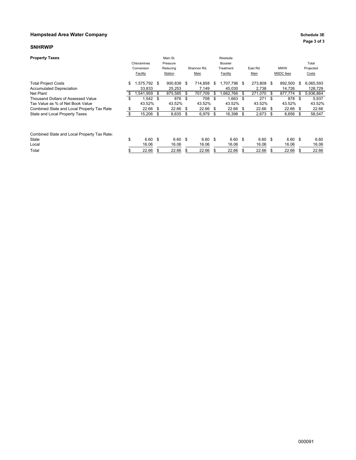#### **Hampstead Area Water Company Company Company Schedule 3E**

#### **SNHRWIP**

| <b>Property Taxes</b>                                         | Chloramines<br>Conversion<br>Facility |     | Main St.<br>Pressure<br>Reducing<br>Station |      | Shannon Rd.<br>Main |     | Westside<br>Booster<br>Treatment<br>Facility |     | East Rd.<br>Main  |     | <b>MWW</b><br>MSDC fees |      | Total<br>Projected<br>Costs |
|---------------------------------------------------------------|---------------------------------------|-----|---------------------------------------------|------|---------------------|-----|----------------------------------------------|-----|-------------------|-----|-------------------------|------|-----------------------------|
| <b>Total Project Costs</b><br><b>Accumulated Depreciation</b> | \$<br>575,792 \$<br>33,833            |     | 900,838<br>25.253                           | - \$ | 714,858<br>7.149    | S   | 1,707,796 \$<br>45,030                       |     | 273,808<br>2.738  | S   | 892,500<br>14.726       | \$   | 6,065,593<br>128,729        |
| Net Plant                                                     | \$<br>.541,959                        | -S  | 875,585                                     | - \$ | 707,709             | \$  | ,662,766                                     | \$  | 271,070           | \$. | 877,774                 | \$   | 5,936,864                   |
| Thousand Dollars of Assessed Value                            | \$<br>$1,542$ \$                      |     | 876                                         | - \$ | 708                 | \$  | $1,663$ \$                                   |     | 271               | \$  | 878                     | -\$  | 5,937                       |
| Tax Value as % of Net Book Value                              | 43.52%                                |     | 43.52%                                      |      | 43.52%              |     | 43.52%                                       |     | 43.52%            |     | 43.52%                  |      | 43.52%                      |
| Combined State and Local Property Tax Rate                    | \$<br>22.66                           | \$  | 22.66                                       | - \$ | 22.66               | \$  | 22.66                                        | -\$ | 22.66             | S   | 22.66                   | - \$ | 22.66                       |
| State and Local Property Taxes                                | \$<br>15,206                          | -\$ | 8,635                                       | - \$ | 6,979               | \$. | 16,398                                       | \$  | 2,673             | \$  | 8,656                   | -S   | 58,547                      |
|                                                               |                                       |     |                                             |      |                     |     |                                              |     |                   |     |                         |      |                             |
| Combined State and Local Property Tax Rate:                   |                                       |     |                                             |      |                     |     |                                              |     |                   |     |                         |      |                             |
| State                                                         | \$<br>6.60 <sup>5</sup>               |     | 6.60 <sup>5</sup>                           |      | 6.60 <sup>5</sup>   |     | 6.60 <sup>5</sup>                            |     | 6.60 <sup>5</sup> |     | 6.60 <sup>5</sup>       |      | 6.60                        |
| Local                                                         | 16.06                                 |     | 16.06                                       |      | 16.06               |     | 16.06                                        |     | 16.06             |     | 16.06                   |      | 16.06                       |
| Total                                                         | 22.66                                 | \$  | 22.66                                       |      | 22.66               |     | 22.66                                        |     | 22.66             |     | 22.66                   | S    | 22.66                       |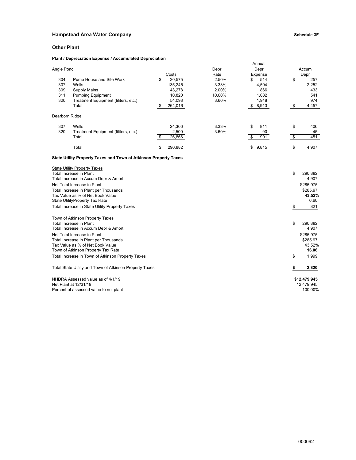#### **Hampstead Area Water Company Schedule 3F**

#### **Other Plant**

#### **Plant / Depreciation Expense / Accumulated Depreciation**

|                |                                                                  |                |        | Annual         |               |
|----------------|------------------------------------------------------------------|----------------|--------|----------------|---------------|
| Angle Pond     |                                                                  |                | Depr   | Depr           | Accum         |
|                |                                                                  | Costs          | Rate   | <b>Expense</b> | Depr          |
| 304            | Pump House and Site Work                                         | \$<br>20,575   | 2.50%  | 514<br>\$      | \$<br>257     |
| 307            | Wells                                                            | 135,245        | 3.33%  | 4,504          | 2,252         |
| 309            | Supply Mains                                                     | 43,278         | 2.00%  | 866            | 433           |
| 311            | <b>Pumping Equipment</b>                                         | 10,820         | 10.00% | 1,082          | 541           |
| 320            | Treatment Equipment (filiters, etc.)                             | 54,098         | 3.60%  | 1,948          | 974           |
|                | Total                                                            | 264,016<br>S   |        | 8,913<br>\$    | 4,457<br>\$   |
| Dearborn Ridge |                                                                  |                |        |                |               |
| 307            | Wells                                                            | 24,366         | 3.33%  | \$<br>811      | \$<br>406     |
| 320            | Treatment Equipment (filiters, etc.)                             | 2,500          | 3.60%  | 90             | 45            |
|                | Total                                                            | 26,866<br>-\$  |        | 901<br>S       | 451<br>\$     |
|                | Total                                                            | 290,882<br>\$. |        | 9,815<br>\$    | 4,907<br>\$   |
|                | State Utility Property Taxes and Town of Atkinson Property Taxes |                |        |                |               |
|                | <b>State Utility Property Taxes</b>                              |                |        |                |               |
|                | Total Increase in Plant                                          |                |        |                | \$<br>290,882 |
|                | Total Increase in Accum Depr & Amort                             |                |        |                | 4,907         |
|                | Net Total Increase in Plant                                      |                |        |                | \$285,975     |
|                | Total Increase in Plant per Thousands                            |                |        |                | \$285.97      |
|                | Tax Value as % of Net Book Value                                 |                |        |                | 43.52%        |

Tax Value as % of Net Book Value **43.52%** State UtilityProperty Tax Rate 6.60 Total Increase in State Utility Property Taxes **by the Contract Contract Contract Contract Contract Contract Contract Contract Contract Contract Contract Contract Contract Contract Contract Contract Contract Contract Contr** Town of Atkinson Property Taxes Total Increase in Plant \$ 290,882 Total Increase in Accum Depr & Amort 4,907 Net Total Increase in Plant Provident States in the Same of the States of the States of States of States of States of States of States of States of States of States of States of States of States of States of States of Stat

Total Increase in Plant per Thousands \$285.97 Tax Value as % of Net Book Value 43.52% and the Unit of Network of Network 2012 and the Unit of Network 2012 and the 43.52% and 43.52% and 43.52% and 43.52% and 43.52% and 45.06 and 46.06 and 46.06 and 46.06 and 46.06 and **Town of Atkinson Property Tax Rate** Total Increase in Town of Atkinson Property Taxes **5 1,999** and the state of the state of the state of the state of the state of the state of the state of the state of the state of the state of the state of the state of th Total State Utility and Town of Atkinson Property Taxes **\$ 2,820** NHDRA Assessed value as of 4/1/19 **\$12,479,945**

Net Plant at 12/31/19<br>
Percent of assessed value to net plant<br>
100.00% Percent of assessed value to net plant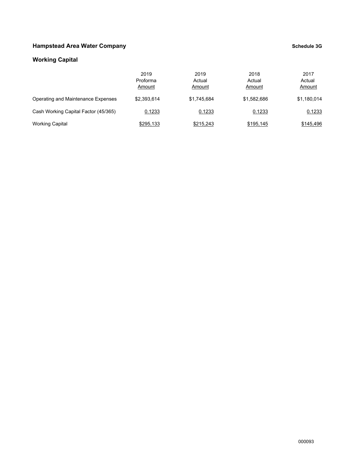### **Hampstead Area Water Company Company Company Schedule 3G**

### **Working Capital**

|                                      | 2019<br>Proforma<br>Amount | 2019<br>Actual<br>Amount | 2018<br>Actual<br>Amount | 2017<br>Actual<br>Amount |
|--------------------------------------|----------------------------|--------------------------|--------------------------|--------------------------|
| Operating and Maintenance Expenses   | \$2.393.614                | \$1.745.684              | \$1.582.686              | \$1,180,014              |
| Cash Working Capital Factor (45/365) | 0.1233                     | 0.1233                   | 0.1233                   | 0.1233                   |
| <b>Working Capital</b>               | \$295,133                  | \$215,243                | \$195,145                | \$145,496                |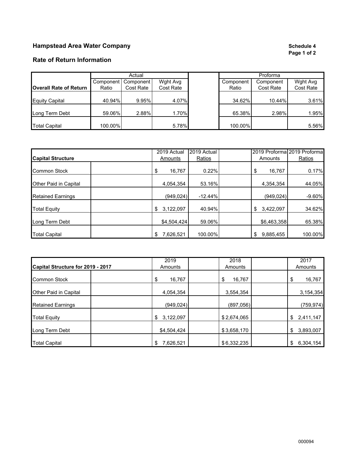### **Hampstead Area Water Company Schedule 4 Schedule 4 Schedule 4 Schedule 4 Schedule 4 Schedule 4 Schedule 4 Schedule 4 Schedule 4 Schedule 4 Schedule 4 Schedule 4 Schedule 4 Schedule 4 Schedule**

# **Page 1 of 2**

### **Rate of Return Information**

|                               |         | Actual                |           |           |           |           |
|-------------------------------|---------|-----------------------|-----------|-----------|-----------|-----------|
|                               |         | Component   Component | Wght Avg  | Component | Component | Wght Avg  |
| <b>Overall Rate of Return</b> | Ratio   | Cost Rate             | Cost Rate | Ratio     | Cost Rate | Cost Rate |
| <b>Equity Capital</b>         | 40.94%  | 9.95%                 | 4.07%     | 34.62%    | 10.44%    | 3.61%     |
| Long Term Debt                | 59.06%  | 2.88%                 | 1.70%     | 65.38%    | 2.98%     | 1.95%     |
| <b>Total Capital</b>          | 100.00% |                       | 5.78%     | 100.00%   |           | 5.56%     |

|                          | 2019 Actual     | 2019 Actual |                 | 2019 Proforma 2019 Proforma |
|--------------------------|-----------------|-------------|-----------------|-----------------------------|
| <b>Capital Structure</b> | Amounts         | Ratios      | Amounts         | Ratios                      |
| <b>Common Stock</b>      | 16,767<br>\$    | 0.22%       | 16,767<br>\$    | 0.17%                       |
| Other Paid in Capital    | 4,054,354       | 53.16%      | 4,354,354       | 44.05%                      |
| <b>Retained Earnings</b> | (949, 024)      | $-12.44%$   | (949,024)       | $-9.60%$                    |
| <b>Total Equity</b>      | 3,122,097<br>\$ | 40.94%      | 3,422,097<br>\$ | 34.62%                      |
| Long Term Debt           | \$4,504,424     | 59.06%      | \$6,463,358     | 65.38%                      |
| <b>Total Capital</b>     | 7,626,521<br>\$ | 100.00%     | 9,885,455<br>\$ | 100.00%                     |

| Capital Structure for 2019 - 2017 | 2019<br>Amounts | 2018<br>Amounts | 2017<br>Amounts |
|-----------------------------------|-----------------|-----------------|-----------------|
| <b>Common Stock</b>               | 16,767<br>\$    | 16,767<br>\$    | \$<br>16,767    |
| Other Paid in Capital             | 4,054,354       | 3,554,354       | 3,154,354       |
| <b>Retained Earnings</b>          | (949, 024)      | (897,056)       | (759, 974)      |
| <b>Total Equity</b>               | 3,122,097<br>\$ | \$2,674,065     | 2,411,147<br>\$ |
| Long Term Debt                    | \$4,504,424     | \$3,658,170     | 3,893,007<br>\$ |
| <b>Total Capital</b>              | 7,626,521<br>\$ | \$6,332,235     | \$<br>6,304,154 |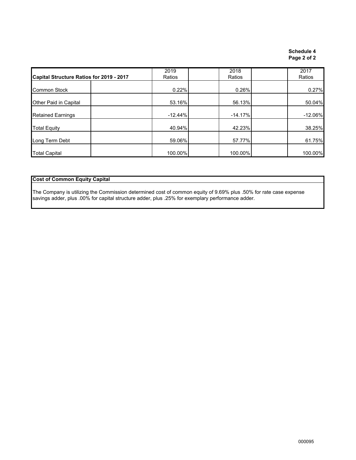### **Schedule 4 Page 2 of 2**

| Capital Structure Ratios for 2019 - 2017 | 2019<br>Ratios | 2018<br>Ratios | 2017<br>Ratios |
|------------------------------------------|----------------|----------------|----------------|
| <b>Common Stock</b>                      | 0.22%          | 0.26%          | 0.27%          |
| Other Paid in Capital                    | 53.16%         | 56.13%         | 50.04%         |
| <b>Retained Earnings</b>                 | $-12.44%$      | $-14.17%$      | $-12.06\%$     |
| <b>Total Equity</b>                      | 40.94%         | 42.23%         | 38.25%         |
| Long Term Debt                           | 59.06%         | 57.77%         | 61.75%         |
| <b>Total Capital</b>                     | 100.00%        | 100.00%        | 100.00%        |

#### **Cost of Common Equity Capital**

The Company is utilizing the Commission determined cost of common equity of 9.69% plus .50% for rate case expense savings adder, plus .00% for capital structure adder, plus .25% for exemplary performance adder.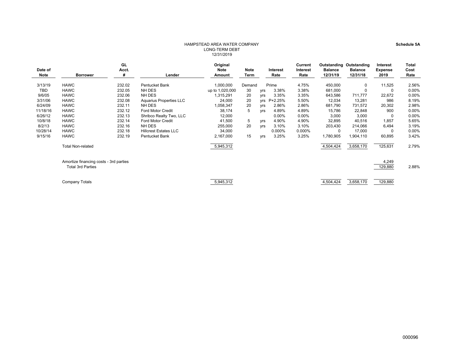#### HAMPSTEAD AREA WATER COMPANYLONG-TERM DEBT 12/31/2019

|                 |                                        | GL         |                              | Original        |                     |            |                  | Current          | <b>Outstanding Outstanding</b> |                            | <b>Interest</b>        | Total        |
|-----------------|----------------------------------------|------------|------------------------------|-----------------|---------------------|------------|------------------|------------------|--------------------------------|----------------------------|------------------------|--------------|
| Date of<br>Note | <b>Borrower</b>                        | Acct.<br># | Lender                       | <b>Note</b>     | <b>Note</b><br>Term |            | Interest<br>Rate | Interest<br>Rate | <b>Balance</b><br>12/31/19     | <b>Balance</b><br>12/31/18 | <b>Expense</b><br>2019 | Cost<br>Rate |
|                 |                                        |            |                              | Amount          |                     |            |                  |                  |                                |                            |                        |              |
| 3/13/19         | <b>HAWC</b>                            | 232.02     | <b>Pentucket Bank</b>        | 1,000,000       | Demand              |            | Prime            | 4.75%            | 450,000                        | 0                          | 11,525                 | 2.56%        |
| <b>TBD</b>      | <b>HAWC</b>                            | 232.05     | NH DES                       | up to 1,020,000 | 30                  | yrs        | 3.38%            | 3.38%            | 681,000                        | 0                          | 0                      | 0.00%        |
| 9/6/05          | <b>HAWC</b>                            | 232.06     | NH DES                       | 1,315,291       | 20                  | yrs        | 3.35%            | 3.35%            | 643,586                        | 711,777                    | 22,672                 | 0.00%        |
| 3/31/06         | <b>HAWC</b>                            | 232.08     | Aquarius Properties LLC      | 24,000          | 20                  | <b>Vrs</b> | P+2.25%          | 5.50%            | 12,034                         | 13,281                     | 986                    | 8.19%        |
| 6/24/09         | <b>HAWC</b>                            | 232.11     | NH DES                       | 1,058,347       | 20                  | yrs        | 2.86%            | 2.86%            | 681,790                        | 731,572                    | 20,302                 | 2.98%        |
| 11/18/16        | <b>HAWC</b>                            | 232.12     | <b>Ford Motor Credit</b>     | 38,174          | 5                   | yrs        | 4.89%            | 4.89%            | 15,786                         | 22,848                     | 900                    | 0.00%        |
| 6/26/12         | <b>HAWC</b>                            | 232.13     | Shribco Realty Two, LLC      | 12,000          |                     |            | 0.00%            | $0.00\%$         | 3,000                          | 3,000                      | 0                      | 0.00%        |
| 10/8/18         | <b>HAWC</b>                            | 232.14     | <b>Ford Motor Credit</b>     | 41,500          | 5                   | yrs        | 4.90%            | 4.90%            | 32,895                         | 40,516                     | 1,857                  | 5.65%        |
| 8/2/13          | <b>HAWC</b>                            | 232.16     | NH DES                       | 255,000         | 20                  | yrs        | 3.10%            | 3.10%            | 203,430                        | 214,066                    | 6,494                  | 3.19%        |
| 10/28/14        | <b>HAWC</b>                            | 232.18     | <b>Hillcrest Estates LLC</b> | 34,000          |                     |            | 0.000%           | 0.000%           | 0                              | 17,000                     | 0                      | 0.00%        |
| 9/15/16         | <b>HAWC</b>                            | 232.19     | Pentucket Bank               | 2,167,000       | 15                  | yrs        | 3.25%            | 3.25%            | 1,780,905                      | 1,904,110                  | 60,895                 | 3.42%        |
|                 | <b>Total Non-related</b>               |            |                              | 5,945,312       |                     |            |                  |                  | 4,504,424                      | 3,658,170                  | 125,631                | 2.79%        |
|                 | Amortize financing costs - 3rd parties |            |                              |                 |                     |            |                  |                  |                                |                            | 4,249                  |              |
|                 | <b>Total 3rd Parties</b>               |            |                              |                 |                     |            |                  |                  |                                |                            | 129,880                | 2.88%        |

Company Totals 5,945,312 4,504,424 3,658,170 129,880

**Schedule 5A**